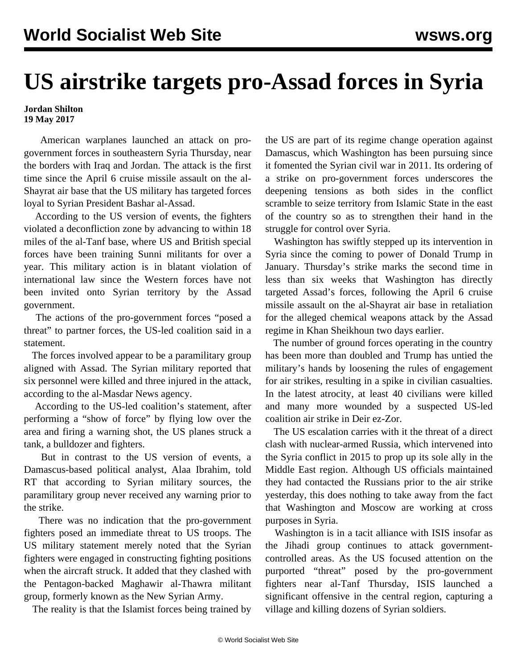## **US airstrike targets pro-Assad forces in Syria**

## **Jordan Shilton 19 May 2017**

 American warplanes launched an attack on progovernment forces in southeastern Syria Thursday, near the borders with Iraq and Jordan. The attack is the first time since the April 6 cruise missile assault on the al-Shayrat air base that the US military has targeted forces loyal to Syrian President Bashar al-Assad.

 According to the US version of events, the fighters violated a deconfliction zone by advancing to within 18 miles of the al-Tanf base, where US and British special forces have been training Sunni militants for over a year. This military action is in blatant violation of international law since the Western forces have not been invited onto Syrian territory by the Assad government.

 The actions of the pro-government forces "posed a threat" to partner forces, the US-led coalition said in a statement.

 The forces involved appear to be a paramilitary group aligned with Assad. The Syrian military reported that six personnel were killed and three injured in the attack, according to the al-Masdar News agency.

 According to the US-led coalition's statement, after performing a "show of force" by flying low over the area and firing a warning shot, the US planes struck a tank, a bulldozer and fighters.

 But in contrast to the US version of events, a Damascus-based political analyst, Alaa Ibrahim, told RT that according to Syrian military sources, the paramilitary group never received any warning prior to the strike.

 There was no indication that the pro-government fighters posed an immediate threat to US troops. The US military statement merely noted that the Syrian fighters were engaged in constructing fighting positions when the aircraft struck. It added that they clashed with the Pentagon-backed Maghawir al-Thawra militant group, formerly known as the New Syrian Army.

The reality is that the Islamist forces being trained by

the US are part of its regime change operation against Damascus, which Washington has been pursuing since it fomented the Syrian civil war in 2011. Its ordering of a strike on pro-government forces underscores the deepening tensions as both sides in the conflict scramble to seize territory from Islamic State in the east of the country so as to strengthen their hand in the struggle for control over Syria.

 Washington has swiftly stepped up its intervention in Syria since the coming to power of Donald Trump in January. Thursday's strike marks the second time in less than six weeks that Washington has directly targeted Assad's forces, following the April 6 cruise missile assault on the al-Shayrat air base in retaliation for the alleged chemical weapons attack by the Assad regime in Khan Sheikhoun two days earlier.

 The number of ground forces operating in the country has been more than doubled and Trump has untied the military's hands by loosening the rules of engagement for air strikes, resulting in a spike in civilian casualties. In the latest atrocity, at least 40 civilians were killed and many more wounded by a suspected US-led coalition air strike in Deir ez-Zor.

 The US escalation carries with it the threat of a direct clash with nuclear-armed Russia, which intervened into the Syria conflict in 2015 to prop up its sole ally in the Middle East region. Although US officials maintained they had contacted the Russians prior to the air strike yesterday, this does nothing to take away from the fact that Washington and Moscow are working at cross purposes in Syria.

 Washington is in a tacit alliance with ISIS insofar as the Jihadi group continues to attack governmentcontrolled areas. As the US focused attention on the purported "threat" posed by the pro-government fighters near al-Tanf Thursday, ISIS launched a significant offensive in the central region, capturing a village and killing dozens of Syrian soldiers.